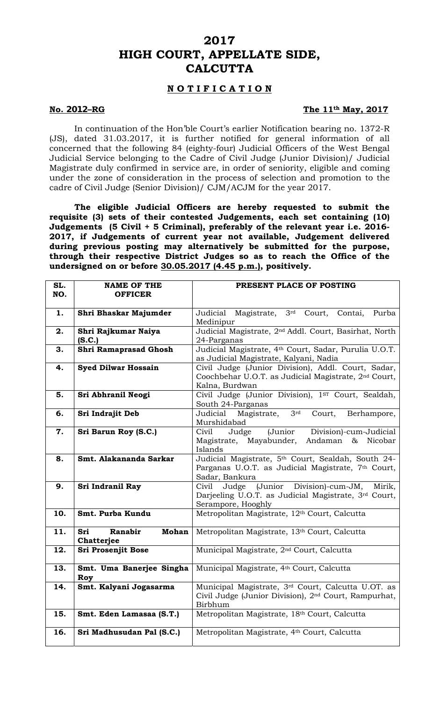## **2017 HIGH COURT, APPELLATE SIDE, CALCUTTA**

## **N O T I F I C A T I O N**

### **No. 2012–RG The 11th May, 2017**

 In continuation of the Hon'ble Court's earlier Notification bearing no. 1372-R (JS), dated 31.03.2017, it is further notified for general information of all concerned that the following 84 (eighty-four) Judicial Officers of the West Bengal Judicial Service belonging to the Cadre of Civil Judge (Junior Division)/ Judicial Magistrate duly confirmed in service are, in order of seniority, eligible and coming under the zone of consideration in the process of selection and promotion to the cadre of Civil Judge (Senior Division)/ CJM/ACJM for the year 2017.

**The eligible Judicial Officers are hereby requested to submit the requisite (3) sets of their contested Judgements, each set containing (10) Judgements (5 Civil + 5 Criminal), preferably of the relevant year i.e. 2016- 2017, if Judgements of current year not available, Judgement delivered during previous posting may alternatively be submitted for the purpose, through their respective District Judges so as to reach the Office of the undersigned on or before 30.05.2017 (4.45 p.m.), positively.** 

| SL.<br>NO. | <b>NAME OF THE</b><br><b>OFFICER</b>         | PRESENT PLACE OF POSTING                                                                                                                 |
|------------|----------------------------------------------|------------------------------------------------------------------------------------------------------------------------------------------|
| 1.         | Shri Bhaskar Majumder                        | Judicial Magistrate, 3rd Court,<br>Contai,<br>Purba<br>Medinipur                                                                         |
| 2.         | Shri Rajkumar Naiya<br>(S.C.)                | Judicial Magistrate, 2 <sup>nd</sup> Addl. Court, Basirhat, North<br>24-Parganas                                                         |
| 3.         | Shri Ramaprasad Ghosh                        | Judicial Magistrate, 4th Court, Sadar, Purulia U.O.T.<br>as Judicial Magistrate, Kalyani, Nadia                                          |
| 4.         | <b>Syed Dilwar Hossain</b>                   | Civil Judge (Junior Division), Addl. Court, Sadar,<br>Coochbehar U.O.T. as Judicial Magistrate, 2 <sup>nd</sup> Court,<br>Kalna, Burdwan |
| 5.         | Sri Abhranil Neogi                           | Civil Judge (Junior Division), 1ST Court, Sealdah,<br>South 24-Parganas                                                                  |
| 6.         | Sri Indrajit Deb                             | 3rd<br>Judicial<br>Magistrate,<br>Court,<br>Berhampore,<br>Murshidabad                                                                   |
| 7.         | Sri Barun Roy (S.C.)                         | (Junior Division)-cum-Judicial<br>Civil<br>Judge<br>Magistrate, Mayabunder, Andaman & Nicobar<br>Islands                                 |
| 8.         | Smt. Alakananda Sarkar                       | Judicial Magistrate, 5th Court, Sealdah, South 24-<br>Parganas U.O.T. as Judicial Magistrate, 7th Court,<br>Sadar, Bankura               |
| 9.         | Sri Indranil Ray                             | Civil Judge (Junior Division)-cum-JM, Mirik,<br>Darjeeling U.O.T. as Judicial Magistrate, 3rd Court,<br>Serampore, Hooghly               |
| 10.        | Smt. Purba Kundu                             | Metropolitan Magistrate, 12th Court, Calcutta                                                                                            |
| 11.        | <b>Mohan</b><br>Ranabir<br>Sri<br>Chatterjee | Metropolitan Magistrate, 13th Court, Calcutta                                                                                            |
| 12.        | <b>Sri Prosenjit Bose</b>                    | Municipal Magistrate, 2 <sup>nd</sup> Court, Calcutta                                                                                    |
| 13.        | Smt. Uma Banerjee Singha<br>Roy              | Municipal Magistrate, 4th Court, Calcutta                                                                                                |
| 14.        | Smt. Kalyani Jogasarma                       | Municipal Magistrate, 3rd Court, Calcutta U.OT. as<br>Civil Judge (Junior Division), 2 <sup>nd</sup> Court, Rampurhat,<br>Birbhum        |
| 15.        | Smt. Eden Lamasaa (S.T.)                     | Metropolitan Magistrate, 18th Court, Calcutta                                                                                            |
| 16.        | Sri Madhusudan Pal (S.C.)                    | Metropolitan Magistrate, 4th Court, Calcutta                                                                                             |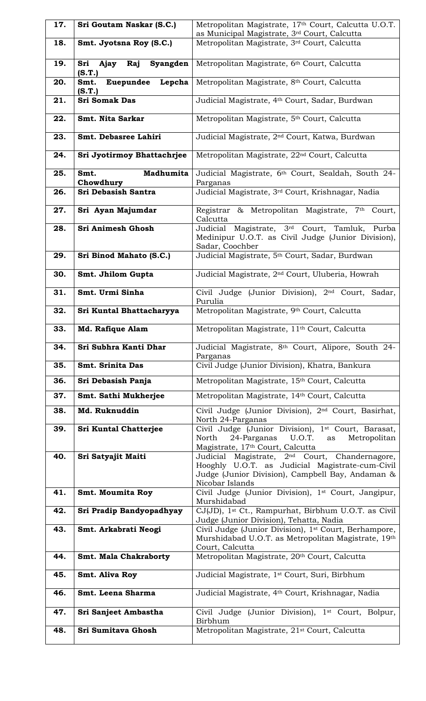| 17. | Sri Goutam Naskar (S.C.)                     | Metropolitan Magistrate, 17th Court, Calcutta U.O.T.<br>as Municipal Magistrate, 3rd Court, Calcutta                                                                                 |
|-----|----------------------------------------------|--------------------------------------------------------------------------------------------------------------------------------------------------------------------------------------|
| 18. | Smt. Jyotsna Roy (S.C.)                      | Metropolitan Magistrate, 3rd Court, Calcutta                                                                                                                                         |
| 19. | Sri<br>Ajay Raj<br>Syangden<br>(S.T.)        | Metropolitan Magistrate, 6th Court, Calcutta                                                                                                                                         |
| 20. | Lepcha<br><b>Euepundee</b><br>Smt.<br>(S.T.) | Metropolitan Magistrate, 8th Court, Calcutta                                                                                                                                         |
| 21. | <b>Sri Somak Das</b>                         | Judicial Magistrate, 4th Court, Sadar, Burdwan                                                                                                                                       |
| 22. | Smt. Nita Sarkar                             | Metropolitan Magistrate, 5th Court, Calcutta                                                                                                                                         |
| 23. | Smt. Debasree Lahiri                         | Judicial Magistrate, 2 <sup>nd</sup> Court, Katwa, Burdwan                                                                                                                           |
| 24. | Sri Jyotirmoy Bhattachrjee                   | Metropolitan Magistrate, 22 <sup>nd</sup> Court, Calcutta                                                                                                                            |
| 25. | Madhumita<br>Smt.<br>Chowdhury               | Judicial Magistrate, 6th Court, Sealdah, South 24-<br>Parganas                                                                                                                       |
| 26. | Sri Debasish Santra                          | Judicial Magistrate, 3rd Court, Krishnagar, Nadia                                                                                                                                    |
| 27. | Sri Ayan Majumdar                            | Registrar & Metropolitan Magistrate, 7th Court,<br>Calcutta                                                                                                                          |
| 28. | Sri Animesh Ghosh                            | Judicial Magistrate, 3rd Court, Tamluk, Purba<br>Medinipur U.O.T. as Civil Judge (Junior Division),<br>Sadar, Coochber                                                               |
| 29. | Sri Binod Mahato (S.C.)                      | Judicial Magistrate, 5th Court, Sadar, Burdwan                                                                                                                                       |
| 30. | Smt. Jhilom Gupta                            | Judicial Magistrate, 2 <sup>nd</sup> Court, Uluberia, Howrah                                                                                                                         |
| 31. | Smt. Urmi Sinha                              | Civil Judge (Junior Division), 2 <sup>nd</sup> Court, Sadar,<br>Purulia                                                                                                              |
| 32. | Sri Kuntal Bhattacharyya                     | Metropolitan Magistrate, 9th Court, Calcutta                                                                                                                                         |
| 33. | Md. Rafique Alam                             | Metropolitan Magistrate, 11 <sup>th</sup> Court, Calcutta                                                                                                                            |
| 34. | Sri Subhra Kanti Dhar                        | Judicial Magistrate, 8th Court, Alipore, South 24-<br>Parganas                                                                                                                       |
| 35. | <b>Smt. Srinita Das</b>                      | Civil Judge (Junior Division), Khatra, Bankura                                                                                                                                       |
| 36. | Sri Debasish Panja                           | Metropolitan Magistrate, 15th Court, Calcutta                                                                                                                                        |
| 37. | Smt. Sathi Mukherjee                         | Metropolitan Magistrate, 14th Court, Calcutta                                                                                                                                        |
| 38. | Md. Ruknuddin                                | Civil Judge (Junior Division), 2 <sup>nd</sup> Court, Basirhat,<br>North 24-Parganas                                                                                                 |
| 39. | <b>Sri Kuntal Chatterjee</b>                 | Civil Judge (Junior Division), 1st Court, Barasat,<br>North<br>24-Parganas U.O.T.<br>Metropolitan<br>as<br>Magistrate, 17th Court, Calcutta                                          |
| 40. | Sri Satyajit Maiti                           | Judicial Magistrate, 2 <sup>nd</sup> Court, Chandernagore,<br>Hooghly U.O.T. as Judicial Magistrate-cum-Civil<br>Judge (Junior Division), Campbell Bay, Andaman &<br>Nicobar Islands |
| 41. | Smt. Moumita Roy                             | Civil Judge (Junior Division), 1st Court, Jangipur,<br>Murshidabad                                                                                                                   |
| 42. | Sri Pradip Bandyopadhyay                     | CJ(JD), 1 <sup>st</sup> Ct., Rampurhat, Birbhum U.O.T. as Civil<br>Judge (Junior Division), Tehatta, Nadia                                                                           |
| 43. | Smt. Arkabrati Neogi                         | Civil Judge (Junior Division), 1 <sup>st</sup> Court, Berhampore,<br>Murshidabad U.O.T. as Metropolitan Magistrate, 19th                                                             |
| 44. | <b>Smt. Mala Chakraborty</b>                 | Court, Calcutta<br>Metropolitan Magistrate, 20th Court, Calcutta                                                                                                                     |
| 45. | Smt. Aliva Roy                               | Judicial Magistrate, 1 <sup>st</sup> Court, Suri, Birbhum                                                                                                                            |
| 46. | Smt. Leena Sharma                            | Judicial Magistrate, 4 <sup>th</sup> Court, Krishnagar, Nadia                                                                                                                        |
| 47. | Sri Sanjeet Ambastha                         | Civil Judge (Junior Division), 1st Court, Bolpur,<br>Birbhum                                                                                                                         |
| 48. | Sri Sumitava Ghosh                           | Metropolitan Magistrate, 21 <sup>st</sup> Court, Calcutta                                                                                                                            |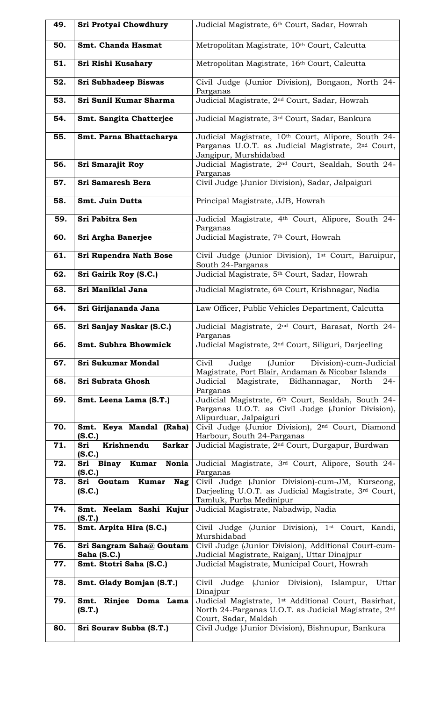| 49. | Sri Protyai Chowdhury                        | Judicial Magistrate, 6 <sup>th</sup> Court, Sadar, Howrah                                                                                      |
|-----|----------------------------------------------|------------------------------------------------------------------------------------------------------------------------------------------------|
| 50. | Smt. Chanda Hasmat                           | Metropolitan Magistrate, 10th Court, Calcutta                                                                                                  |
| 51. | Sri Rishi Kusahary                           | Metropolitan Magistrate, 16th Court, Calcutta                                                                                                  |
| 52. | <b>Sri Subhadeep Biswas</b>                  | Civil Judge (Junior Division), Bongaon, North 24-<br>Parganas                                                                                  |
| 53. | Sri Sunil Kumar Sharma                       | Judicial Magistrate, 2 <sup>nd</sup> Court, Sadar, Howrah                                                                                      |
| 54. | Smt. Sangita Chatterjee                      | Judicial Magistrate, 3rd Court, Sadar, Bankura                                                                                                 |
| 55. | Smt. Parna Bhattacharya                      | Judicial Magistrate, 10th Court, Alipore, South 24-<br>Parganas U.O.T. as Judicial Magistrate, 2 <sup>nd</sup> Court,<br>Jangipur, Murshidabad |
| 56. | <b>Sri Smarajit Roy</b>                      | Judicial Magistrate, 2 <sup>nd</sup> Court, Sealdah, South 24-<br>Parganas                                                                     |
| 57. | Sri Samaresh Bera                            | Civil Judge (Junior Division), Sadar, Jalpaiguri                                                                                               |
| 58. | Smt. Juin Dutta                              | Principal Magistrate, JJB, Howrah                                                                                                              |
| 59. | Sri Pabitra Sen                              | Judicial Magistrate, 4th Court, Alipore, South 24-<br>Parganas                                                                                 |
| 60. | Sri Argha Banerjee                           | Judicial Magistrate, 7th Court, Howrah                                                                                                         |
| 61. | Sri Rupendra Nath Bose                       | Civil Judge (Junior Division), 1 <sup>st</sup> Court, Baruipur,<br>South 24-Parganas                                                           |
| 62. | Sri Gairik Roy (S.C.)                        | Judicial Magistrate, 5th Court, Sadar, Howrah                                                                                                  |
| 63. | Sri Maniklal Jana                            | Judicial Magistrate, 6 <sup>th</sup> Court, Krishnagar, Nadia                                                                                  |
| 64. | Sri Girijananda Jana                         | Law Officer, Public Vehicles Department, Calcutta                                                                                              |
| 65. | Sri Sanjay Naskar (S.C.)                     | Judicial Magistrate, 2 <sup>nd</sup> Court, Barasat, North 24-<br>Parganas                                                                     |
| 66. | Smt. Subhra Bhowmick                         | Judicial Magistrate, 2 <sup>nd</sup> Court, Siliguri, Darjeeling                                                                               |
| 67. | <b>Sri Sukumar Mondal</b>                    | Civil<br>Division)-cum-Judicial<br>Judge<br>(Junior<br>Magistrate, Port Blair, Andaman & Nicobar Islands                                       |
| 68. | Sri Subrata Ghosh                            | Judicial<br>Magistrate, Bidhannagar,<br>North<br>$24-$<br>Parganas                                                                             |
| 69. | Smt. Leena Lama (S.T.)                       | Judicial Magistrate, 6th Court, Sealdah, South 24-<br>Parganas U.O.T. as Civil Judge (Junior Division),<br>Alipurduar, Jalpaiguri              |
| 70. | Smt. Keya Mandal (Raha)<br>(S.C.)            | Civil Judge (Junior Division), 2 <sup>nd</sup> Court, Diamond<br>Harbour, South 24-Parganas                                                    |
| 71. | Krishnendu<br><b>Sarkar</b><br>Sri<br>(S.C.) | Judicial Magistrate, 2 <sup>nd</sup> Court, Durgapur, Burdwan                                                                                  |
| 72. | Binay Kumar Nonia<br>Sri<br>(S.C.)           | Judicial Magistrate, 3rd Court, Alipore, South 24-<br>Parganas                                                                                 |
| 73. | Sri Goutam Kumar Nag<br>(S.C.)               | Civil Judge (Junior Division)-cum-JM, Kurseong,<br>Darjeeling U.O.T. as Judicial Magistrate, 3rd Court,<br>Tamluk, Purba Medinipur             |
| 74. | Smt. Neelam Sashi Kujur<br>(S.T.)            | Judicial Magistrate, Nabadwip, Nadia                                                                                                           |
| 75. | Smt. Arpita Hira (S.C.)                      | Civil Judge (Junior Division), 1 <sup>st</sup> Court, Kandi,<br>Murshidabad                                                                    |
| 76. | Sri Sangram Saha@ Goutam<br>Saha (S.C.)      | Civil Judge (Junior Division), Additional Court-cum-<br>Judicial Magistrate, Raiganj, Uttar Dinajpur                                           |
| 77. | Smt. Stotri Saha (S.C.)                      | Judicial Magistrate, Municipal Court, Howrah                                                                                                   |
| 78. | Smt. Glady Bomjan (S.T.)                     | Civil Judge (Junior Division), Islampur, Uttar<br>Dinajpur                                                                                     |
| 79. | Rinjee Doma Lama<br>Smt.<br>(S.T.)           | Judicial Magistrate, 1st Additional Court, Basirhat,<br>North 24-Parganas U.O.T. as Judicial Magistrate, 2nd<br>Court, Sadar, Maldah           |
| 80. | Sri Sourav Subba (S.T.)                      | Civil Judge (Junior Division), Bishnupur, Bankura                                                                                              |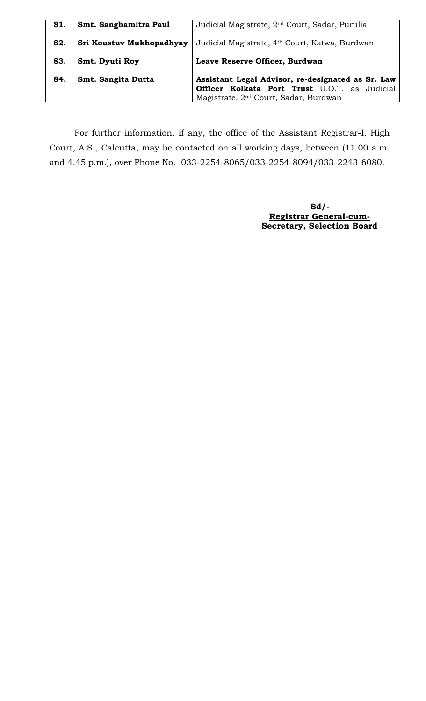| 81. | Smt. Sanghamitra Paul    | Judicial Magistrate, 2 <sup>nd</sup> Court, Sadar, Purulia                                                                                              |
|-----|--------------------------|---------------------------------------------------------------------------------------------------------------------------------------------------------|
| 82. | Sri Koustuv Mukhopadhyay | Judicial Magistrate, 4th Court, Katwa, Burdwan                                                                                                          |
| 83. | Smt. Dyuti Roy           | Leave Reserve Officer, Burdwan                                                                                                                          |
| 84. | Smt. Sangita Dutta       | Assistant Legal Advisor, re-designated as Sr. Law<br>Officer Kolkata Port Trust U.O.T. as Judicial<br>Magistrate, 2 <sup>nd</sup> Court, Sadar, Burdwan |

For further information, if any, the office of the Assistant Registrar-I, High Court, A.S., Calcutta, may be contacted on all working days, between (11.00 a.m. and 4.45 p.m.), over Phone No. 033-2254-8065/033-2254-8094/033-2243-6080.

> **Sd/- Registrar General-cum- Secretary, Selection Board**